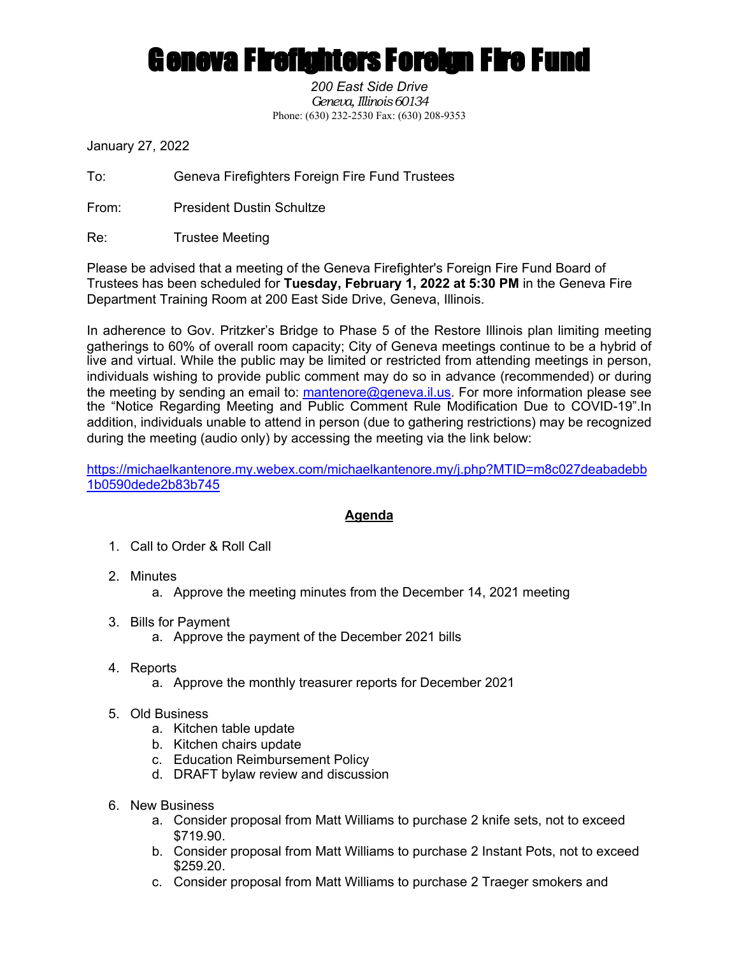## **Geneva Firefighters Foreign Fire Fund**

*200 East Side Drive Geneva, Illinois 60134* Phone: (630) 232-2530 Fax: (630) 208-9353

January 27, 2022

To: Geneva Firefighters Foreign Fire Fund Trustees

From: President Dustin Schultze

Re: Trustee Meeting

Please be advised that a meeting of the Geneva Firefighter's Foreign Fire Fund Board of Trustees has been scheduled for **Tuesday, February 1, 2022 at 5:30 PM** in the Geneva Fire Department Training Room at 200 East Side Drive, Geneva, Illinois.

In adherence to Gov. Pritzker's Bridge to Phase 5 of the Restore Illinois plan limiting meeting gatherings to 60% of overall room capacity; City of Geneva meetings continue to be a hybrid of live and virtual. While the public may be limited or restricted from attending meetings in person, individuals wishing to provide public comment may do so in advance (recommended) or during the meeting by sending an email to: mantenore@geneva.il.us. For more information please see the "Notice Regarding Meeting and Public Comment Rule Modification Due to COVID-19".In addition, individuals unable to attend in person (due to gathering restrictions) may be recognized during the meeting (audio only) by accessing the meeting via the link below:

https://michaelkantenore.my.webex.com/michaelkantenore.my/j.php?MTID=m8c027deabadebb 1b0590dede2b83b745

## **Agenda**

- 1. Call to Order & Roll Call
- 2. Minutes
	- a. Approve the meeting minutes from the December 14, 2021 meeting
- 3. Bills for Payment
	- a. Approve the payment of the December 2021 bills
- 4. Reports
	- a. Approve the monthly treasurer reports for December 2021
- 5. Old Business
	- a. Kitchen table update
	- b. Kitchen chairs update
	- c. Education Reimbursement Policy
	- d. DRAFT bylaw review and discussion
- 6. New Business
	- a. Consider proposal from Matt Williams to purchase 2 knife sets, not to exceed \$719.90.
	- b. Consider proposal from Matt Williams to purchase 2 Instant Pots, not to exceed \$259.20.
	- c. Consider proposal from Matt Williams to purchase 2 Traeger smokers and